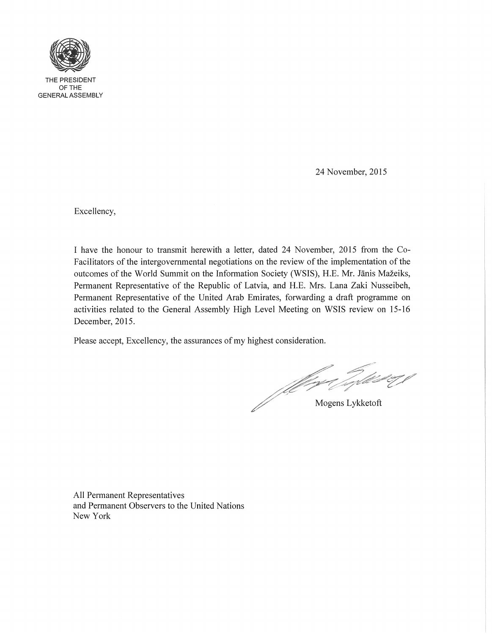

THE PRESIDENT OFTHE GENERAL ASSEMBLY

24 November, 2015

Excellency,

I have the honour to transmit herewith a letter, dated 24 November, 2015 from the Co-Facilitators of the intergovernmental negotiations on the review of the implementation of the outcomes of the World Summit on the Information Society (WSIS), H.E. Mr. Janis Mazeiks, Permanent Representative of the Republic of Latvia, and H.E. Mrs. Lana Zaki Nusseibeh, Permanent Representative of the United Arab Emirates, forwarding a draft programme on activities related to the General Assembly High Level Meeting on WSIS review on 15-16 December, 2015.

Please accept, Excellency, the assurances of my highest consideration.

More Tylket of J

All Permanent Representatives and Permanent Observers to the United Nations New York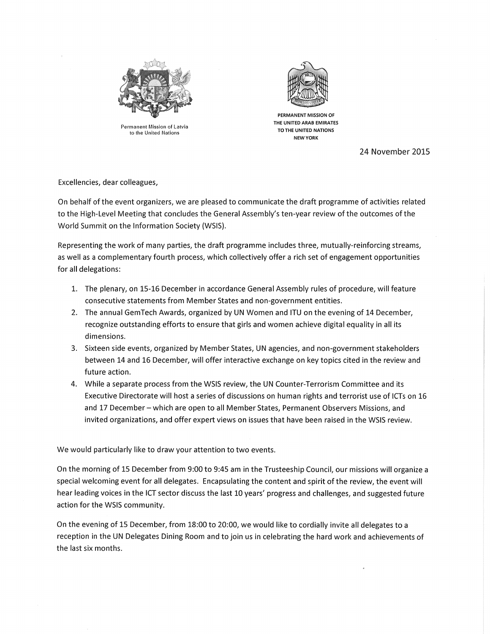

Permanent Mission of Latvia to the United Nations



PERMANENT MISSION OF THE UNITED ARAB EMIRATES TO THE UNITED NATIONS NEW YORK

24 November 2015

Excellencies, dear colleagues,

On behalf of the event organizers, we are pleased to communicate the draft programme of activities related to the High-Level Meeting that concludes the General Assembly's ten-year review of the outcomes of the World Summit on the Information Society (WSIS).

Representing the work of many parties, the draft programme includes three, mutually-reinforcing streams, as well as a complementary fourth process, which collectively offer a rich set of engagement opportunities for all delegations:

- 1. The plenary, on 15-16 December in accordance General Assembly rules of procedure, will feature consecutive statements from Member States and non-government entities.
- 2. The annual GemTech Awards, organized by UN Women and ITU on the evening of 14 December, recognize outstanding efforts to ensure that girls and women achieve digital equality in all its dimensions.
- 3. Sixteen side events, organized by Member States, UN agencies, and non-government stakeholders between 14 and 16 December, will offer interactive exchange on key topics cited in the review and future action.
- 4. While a separate process from the WSIS review, the UN Counter-Terrorism Committee and its Executive Directorate will host a series of discussions on human rights and terrorist use of ICTs on 16 and 17 December - which are open to all Member States, Permanent Observers Missions, and invited organizations, and offer expert views on issues that have been raised in the WSIS review.

We would particularly like to draw your attention to two events.

On the morning of 15 December from 9:00 to 9:45 am in the Trusteeship Council, our missions will organize a special welcoming event for all delegates. Encapsulating the content and spirit of the review, the event will hear leading voices in the ICT sector discuss the last 10 years' progress and challenges, and suggested future action for the WSIS community.

On the evening of 15 December, from 18:00 to 20:00, we would like to cordially invite all delegates to a reception in the UN Delegates Dining Room and to join us in celebrating the hard work and achievements of the last six months.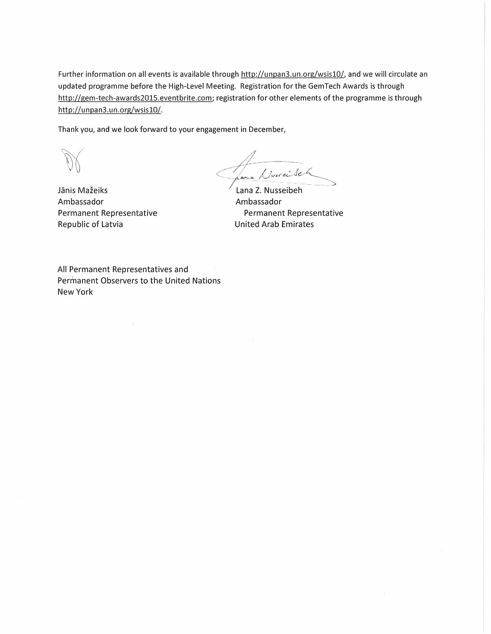Further information on all events is available through http://unpan3.un.org/wsis10/, and we will circulate an updated programme before the High-Level Meeting. Registration for the GemTech Awards is through http://gem-tech-awards2015.eventbrite.com; registration for other elements of the programme is through http://unpan3.un.org/wsis10/.

Thank you, and we look forward to your engagement in December,

 $\mathscr{A}$  $\overbrace{...}$  $\longrightarrow$ 

Jānis Mažeiks Ambassador Permanent Representative Republic of Latvia

Lana Z. Nusseibeh Ambassador Permanent Representative United Arab Emirates

All Permanent Representatives and Permanent Observers to the United Nations New York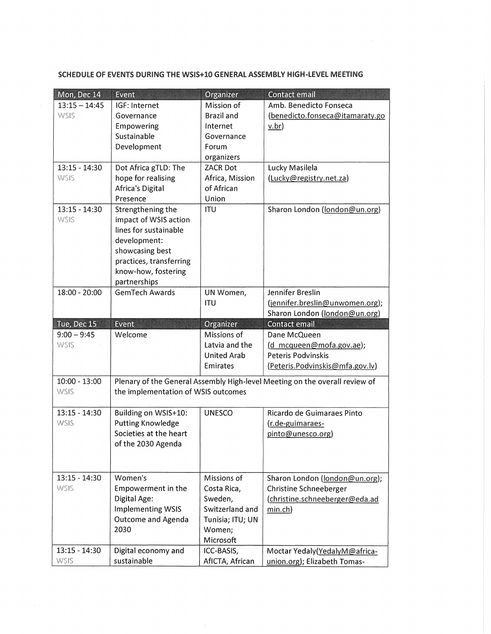| Mon, Dec 14                  | Event                                            | Organizer                     | <b>Contact email</b>                                                        |
|------------------------------|--------------------------------------------------|-------------------------------|-----------------------------------------------------------------------------|
| $13:15 - 14:45$              | IGF: Internet                                    | Mission of                    | Amb. Benedicto Fonseca                                                      |
| <b>WSIS</b>                  | Governance                                       | <b>Brazil and</b>             | (benedicto.fonseca@itamaraty.go                                             |
|                              | Empowering                                       | Internet                      | $\underline{v.br}$                                                          |
|                              | Sustainable                                      | Governance                    |                                                                             |
|                              | Development                                      | Forum                         |                                                                             |
|                              |                                                  | organizers                    |                                                                             |
| $13:15 - 14:30$              | Dot Africa gTLD: The                             | <b>ZACR Dot</b>               | Lucky Masilela                                                              |
| <b>WSIS</b>                  | hope for realising                               | Africa, Mission               | (Lucky@registry.net.za)                                                     |
|                              | Africa's Digital                                 | of African                    |                                                                             |
|                              | Presence                                         | Union                         |                                                                             |
| $13:15 - 14:30$              | Strengthening the                                | <b>ITU</b>                    | Sharon London (london@un.org)                                               |
| <b>WSIS</b>                  | impact of WSIS action                            |                               |                                                                             |
|                              | lines for sustainable                            |                               |                                                                             |
|                              | development:                                     |                               |                                                                             |
|                              | showcasing best                                  |                               |                                                                             |
|                              | practices, transferring<br>know-how, fostering   |                               |                                                                             |
|                              | partnerships                                     |                               |                                                                             |
| 18:00 - 20:00                | <b>GemTech Awards</b>                            | UN Women,                     | Jennifer Breslin                                                            |
|                              |                                                  | <b>ITU</b>                    | (jennifer.breslin@unwomen.org);                                             |
|                              |                                                  |                               | Sharon London (london@un.org)                                               |
|                              | <b>Event</b>                                     | Organizer                     | <b>Contact email</b>                                                        |
|                              |                                                  |                               |                                                                             |
| Tue, Dec 15<br>$9:00 - 9:45$ | Welcome                                          | Missions of                   |                                                                             |
| <b>WSIS</b>                  |                                                  | Latvia and the                | Dane McQueen<br>(d mcqueen@mofa.gov.ae);                                    |
|                              |                                                  | <b>United Arab</b>            | Peteris Podvinskis                                                          |
|                              |                                                  | Emirates                      | (Peteris.Podvinskis@mfa.gov.lv)                                             |
|                              |                                                  |                               |                                                                             |
| $10:00 - 13:00$              |                                                  |                               | Plenary of the General Assembly High-level Meeting on the overall review of |
| <b>WSIS</b>                  | the implementation of WSIS outcomes              |                               |                                                                             |
| 13:15 - 14:30                |                                                  |                               |                                                                             |
| <b>WSIS</b>                  | Building on WSIS+10:<br><b>Putting Knowledge</b> | <b>UNESCO</b>                 | Ricardo de Guimaraes Pinto                                                  |
|                              | Societies at the heart                           |                               | (r.de-guimaraes-<br>pinto@unesco.org)                                       |
|                              | of the 2030 Agenda                               |                               |                                                                             |
|                              |                                                  |                               |                                                                             |
|                              |                                                  |                               |                                                                             |
| $13:15 - 14:30$              | Women's                                          | Missions of                   |                                                                             |
| <b>WSIS</b>                  | Empowerment in the                               | Costa Rica,                   | Sharon London (london@un.org);<br>Christine Schneeberger                    |
|                              | Digital Age:                                     | Sweden,                       | (christine.schneeberger@eda.ad                                              |
|                              | <b>Implementing WSIS</b>                         | Switzerland and               | min.ch)                                                                     |
|                              | <b>Outcome and Agenda</b>                        | Tunisia; ITU; UN              |                                                                             |
|                              | 2030                                             | Women;                        |                                                                             |
|                              |                                                  | Microsoft                     |                                                                             |
| $13:15 - 14:30$<br>WSIS      | Digital economy and<br>sustainable               | ICC-BASIS,<br>AfICTA, African | Moctar Yedaly(YedalyM@africa-                                               |

 $\hat{\mathcal{A}}$ 

SCHEDULE OF EVENTS DURING THE WSIS+I0 GENERAL ASSEMBLY HIGH-LEVEl MEETING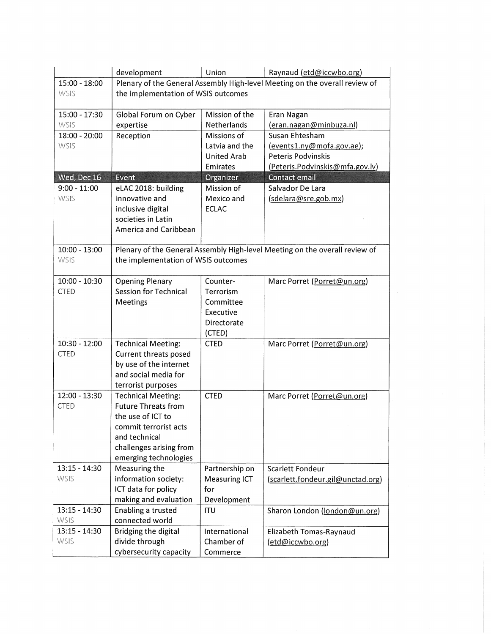|                 | development                         | Union                | Raynaud (etd@iccwbo.org)                                                    |  |  |
|-----------------|-------------------------------------|----------------------|-----------------------------------------------------------------------------|--|--|
| 15:00 - 18:00   |                                     |                      | Plenary of the General Assembly High-level Meeting on the overall review of |  |  |
| <b>WSIS</b>     | the implementation of WSIS outcomes |                      |                                                                             |  |  |
|                 |                                     |                      |                                                                             |  |  |
| 15:00 - 17:30   | Global Forum on Cyber               | Mission of the       | Eran Nagan                                                                  |  |  |
| <b>WSIS</b>     | expertise                           | <b>Netherlands</b>   | (eran.nagan@minbuza.nl)                                                     |  |  |
| 18:00 - 20:00   | Reception                           | Missions of          | Susan Ehtesham                                                              |  |  |
| <b>WSIS</b>     |                                     | Latvia and the       | (events1.ny@mofa.gov.ae);                                                   |  |  |
|                 |                                     | <b>United Arab</b>   | Peteris Podvinskis                                                          |  |  |
|                 |                                     | Emirates             | (Peteris.Podvinskis@mfa.gov.lv)                                             |  |  |
| Wed, Dec 16     | Event                               | Organizer            | <b>Contact email</b>                                                        |  |  |
| $9:00 - 11:00$  | eLAC 2018: building                 | Mission of           | Salvador De Lara                                                            |  |  |
| <b>WSIS</b>     | innovative and                      | Mexico and           | (sdelara@sre.gob.mx)                                                        |  |  |
|                 | inclusive digital                   | <b>ECLAC</b>         |                                                                             |  |  |
|                 | societies in Latin                  |                      |                                                                             |  |  |
|                 | America and Caribbean               |                      |                                                                             |  |  |
| $10:00 - 13:00$ |                                     |                      | Plenary of the General Assembly High-level Meeting on the overall review of |  |  |
| WSIS            | the implementation of WSIS outcomes |                      |                                                                             |  |  |
|                 |                                     |                      |                                                                             |  |  |
| $10:00 - 10:30$ | <b>Opening Plenary</b>              | Counter-             | Marc Porret (Porret@un.org)                                                 |  |  |
| <b>CTED</b>     | <b>Session for Technical</b>        | Terrorism            |                                                                             |  |  |
|                 | Meetings                            | Committee            |                                                                             |  |  |
|                 |                                     | Executive            |                                                                             |  |  |
|                 |                                     | Directorate          |                                                                             |  |  |
|                 |                                     | (CTED)               |                                                                             |  |  |
| $10:30 - 12:00$ | <b>Technical Meeting:</b>           | <b>CTED</b>          | Marc Porret (Porret@un.org)                                                 |  |  |
| <b>CTED</b>     | Current threats posed               |                      |                                                                             |  |  |
|                 | by use of the internet              |                      |                                                                             |  |  |
|                 | and social media for                |                      |                                                                             |  |  |
|                 | terrorist purposes                  |                      |                                                                             |  |  |
| 12:00 - 13:30   | <b>Technical Meeting:</b>           | <b>CTED</b>          | Marc Porret (Porret@un.org)                                                 |  |  |
| <b>CTED</b>     | <b>Future Threats from</b>          |                      |                                                                             |  |  |
|                 | the use of ICT to                   |                      |                                                                             |  |  |
|                 | commit terrorist acts               |                      |                                                                             |  |  |
|                 | and technical                       |                      |                                                                             |  |  |
|                 | challenges arising from             |                      |                                                                             |  |  |
|                 | emerging technologies               |                      |                                                                             |  |  |
| $13:15 - 14:30$ | Measuring the                       | Partnership on       | Scarlett Fondeur                                                            |  |  |
| <b>WSIS</b>     | information society:                | <b>Measuring ICT</b> | (scarlett.fondeur.gil@unctad.org)                                           |  |  |
|                 | ICT data for policy                 | for                  |                                                                             |  |  |
|                 | making and evaluation               | Development          |                                                                             |  |  |
| $13:15 - 14:30$ | Enabling a trusted                  | ITU                  | Sharon London (london@un.org)                                               |  |  |
| <b>WSIS</b>     | connected world                     |                      |                                                                             |  |  |
| $13:15 - 14:30$ | Bridging the digital                | International        | Elizabeth Tomas-Raynaud                                                     |  |  |
| WSIS            | divide through                      | Chamber of           | (etd@iccwbo.org)                                                            |  |  |
|                 | cybersecurity capacity              | Commerce             |                                                                             |  |  |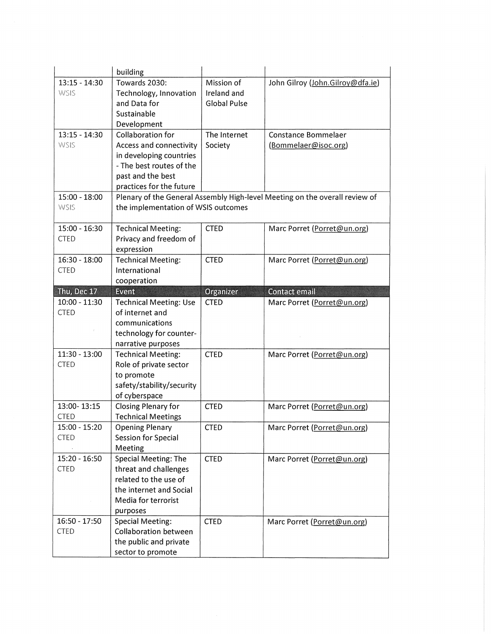|                                | building                                                                    |                     |                                  |  |  |
|--------------------------------|-----------------------------------------------------------------------------|---------------------|----------------------------------|--|--|
| $13:15 - 14:30$                | Towards 2030:                                                               | Mission of          | John Gilroy (John.Gilroy@dfa.ie) |  |  |
| <b>WSIS</b>                    | Technology, Innovation                                                      | Ireland and         |                                  |  |  |
|                                | and Data for                                                                | <b>Global Pulse</b> |                                  |  |  |
|                                | Sustainable<br>Development                                                  |                     |                                  |  |  |
| $13:15 - 14:30$                | Collaboration for                                                           | The Internet        | Constance Bommelaer              |  |  |
| <b>WSIS</b>                    | Access and connectivity                                                     | Society             | (Bommelaer@isoc.org)             |  |  |
|                                | in developing countries                                                     |                     |                                  |  |  |
|                                | - The best routes of the                                                    |                     |                                  |  |  |
|                                | past and the best                                                           |                     |                                  |  |  |
|                                | practices for the future                                                    |                     |                                  |  |  |
| $15:00 - 18:00$                | Plenary of the General Assembly High-level Meeting on the overall review of |                     |                                  |  |  |
| <b>WSIS</b>                    | the implementation of WSIS outcomes                                         |                     |                                  |  |  |
| $15:00 - 16:30$                | <b>Technical Meeting:</b>                                                   | <b>CTED</b>         | Marc Porret (Porret@un.org)      |  |  |
| <b>CTED</b>                    | Privacy and freedom of                                                      |                     |                                  |  |  |
|                                | expression                                                                  |                     |                                  |  |  |
| 16:30 - 18:00                  | <b>Technical Meeting:</b>                                                   | <b>CTED</b>         | Marc Porret (Porret@un.org)      |  |  |
| <b>CTED</b>                    | International                                                               |                     |                                  |  |  |
|                                | cooperation                                                                 |                     |                                  |  |  |
| Thu, Dec 17                    | <b>Event</b>                                                                | Organizer           | Contact email                    |  |  |
| $10:00 - 11:30$<br><b>CTED</b> | <b>Technical Meeting: Use</b><br>of internet and                            | <b>CTED</b>         | Marc Porret (Porret@un.org)      |  |  |
|                                |                                                                             |                     |                                  |  |  |
|                                |                                                                             |                     |                                  |  |  |
|                                | communications                                                              |                     |                                  |  |  |
|                                | technology for counter-<br>narrative purposes                               |                     |                                  |  |  |
| $11:30 - 13:00$                | <b>Technical Meeting:</b>                                                   | <b>CTED</b>         | Marc Porret (Porret@un.org)      |  |  |
| <b>CTED</b>                    | Role of private sector                                                      |                     |                                  |  |  |
|                                | to promote                                                                  |                     |                                  |  |  |
|                                | safety/stability/security                                                   |                     |                                  |  |  |
|                                | of cyberspace                                                               |                     |                                  |  |  |
| 13:00-13:15                    | Closing Plenary for                                                         | <b>CTED</b>         | Marc Porret (Porret@un.org)      |  |  |
| <b>CTED</b>                    | <b>Technical Meetings</b>                                                   |                     |                                  |  |  |
| 15:00 - 15:20                  | Opening Plenary                                                             | <b>CTED</b>         | Marc Porret (Porret@un.org)      |  |  |
| <b>CTED</b>                    | Session for Special<br>Meeting                                              |                     |                                  |  |  |
| $15:20 - 16:50$                | Special Meeting: The                                                        | <b>CTED</b>         | Marc Porret (Porret@un.org)      |  |  |
| <b>CTED</b>                    | threat and challenges                                                       |                     |                                  |  |  |
|                                | related to the use of                                                       |                     |                                  |  |  |
|                                | the internet and Social                                                     |                     |                                  |  |  |
|                                | Media for terrorist                                                         |                     |                                  |  |  |
|                                | purposes                                                                    |                     |                                  |  |  |
| 16:50 - 17:50                  | <b>Special Meeting:</b>                                                     | <b>CTED</b>         | Marc Porret (Porret@un.org)      |  |  |
| <b>CTED</b>                    | Collaboration between                                                       |                     |                                  |  |  |
|                                | the public and private<br>sector to promote                                 |                     |                                  |  |  |